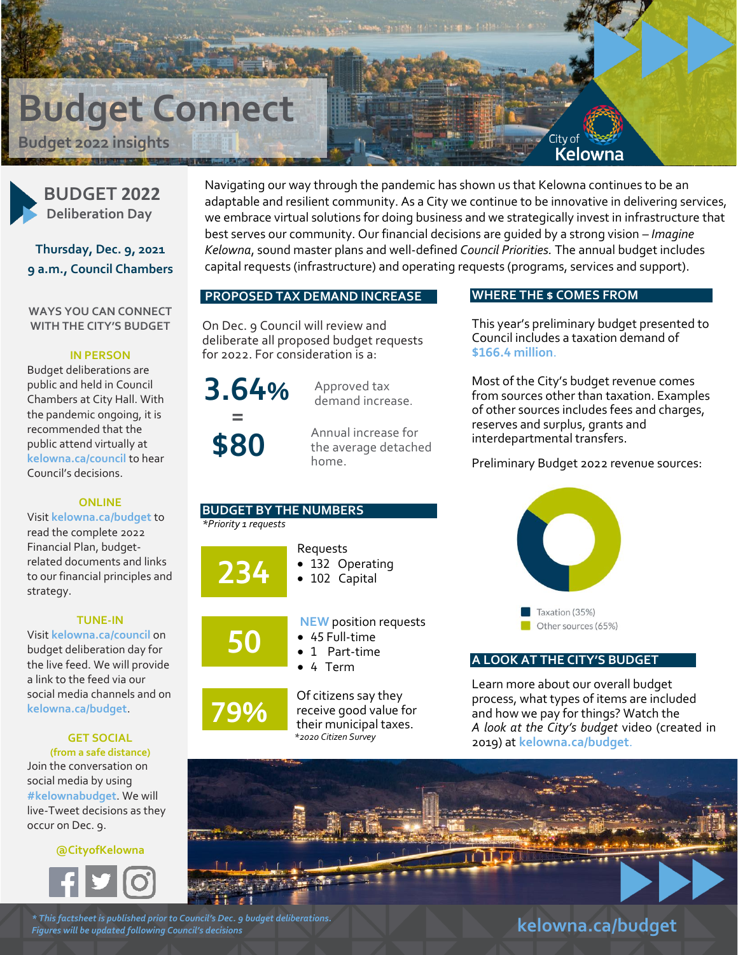# **Budget Connect**

**Budget 2022 insights** 



**BUDGET 2022 Deliberation Day**

**Thursday, Dec. 9, 2021 9 a.m., Council Chambers**

**WAYS YOU CAN CONNECT WITH THE CITY'S BUDGET**

#### **IN PERSON**

Budget deliberations are public and held in Council Chambers at City Hall. With the pandemic ongoing, it is recommended that the public attend virtually at **[kelowna.ca/council](https://www.kelowna.ca/city-hall/council/council-meetings-public-hearings)** to hear Council's decisions.

#### **ONLINE**

Visit **[kelowna.ca/budget](https://www.kelowna.ca/city-hall/budget/city-budget)** to read the complete 2022 Financial Plan, budgetrelated documents and links to our financial principles and strategy.

#### **TUNE-IN**

Visit **[kelowna.ca/council](https://www.kelowna.ca/city-hall/council/council-meetings-public-hearings)** on budget deliberation day for the live feed. We will provide a link to the feed via our social media channels and on **[kelowna.ca/budget](https://www.kelowna.ca/city-hall/budget/city-budget)**.

# **GET SOCIAL**

**(from a safe distance)** Join the conversation on social media by using **[#kelownabudget](https://twitter.com/hashtag/KelownaBudget?src=hash)**. We will live-Tweet decisions as they occur on Dec. 9.

**@CityofKelowna**



Navigating our way through the pandemic has shown us that Kelowna continues to be an adaptable and resilient community. As a City we continue to be innovative in delivering services, we embrace virtual solutions for doing business and we strategically invest in infrastructure that best serves our community. Our financial decisions are guided by a strong vision – *Imagine Kelowna*, sound master plans and well-defined *Council Priorities.* The annual budget includes capital requests (infrastructure) and operating requests (programs, services and support).

#### **PROPOSED TAX DEMAND INCREASE**

On Dec. 9 Council will review and deliberate all proposed budget requests for 2022. For consideration is a:



**% \$80**

Approved tax demand increase.

Annual increase for the average detached home.

#### **BUDGET BY THE NUMBERS** *\*Priority 1 requests*



**50**

**79%**

- 132 Operating • 102 Capital
- **NEW** position requests
- 45 Full-time
- 1 Part-time
- 4 Term

Requests

Of citizens say they receive good value for their municipal taxes. *\*2020 Citizen Survey*

### **WHERE THE \$ COMES FROM**

City of

Kelowna

This year's preliminary budget presented to Council includes a taxation demand of **\$166.4 million**.

Most of the City's budget revenue comes from sources other than taxation. Examples of other sources includes fees and charges, reserves and surplus, grants and interdepartmental transfers.

Preliminary Budget 2022 revenue sources:



### **A LOOK AT THE CITY'S BUDGET**

Learn more about our overall budget process, what types of items are included and how we pay for things? Watch the *A look at the City's budget* video (created in 2019) at **[kelowna.ca/budget](https://www.kelowna.ca/city-hall/budget/city-budget)**.



*\* This factsheet is published prior to Council's Dec. 9 budget deliberations. Figures will be updated following Council's decisions*

**[kelowna.ca/budget](https://www.kelowna.ca/city-hall/budget/city-budget)**